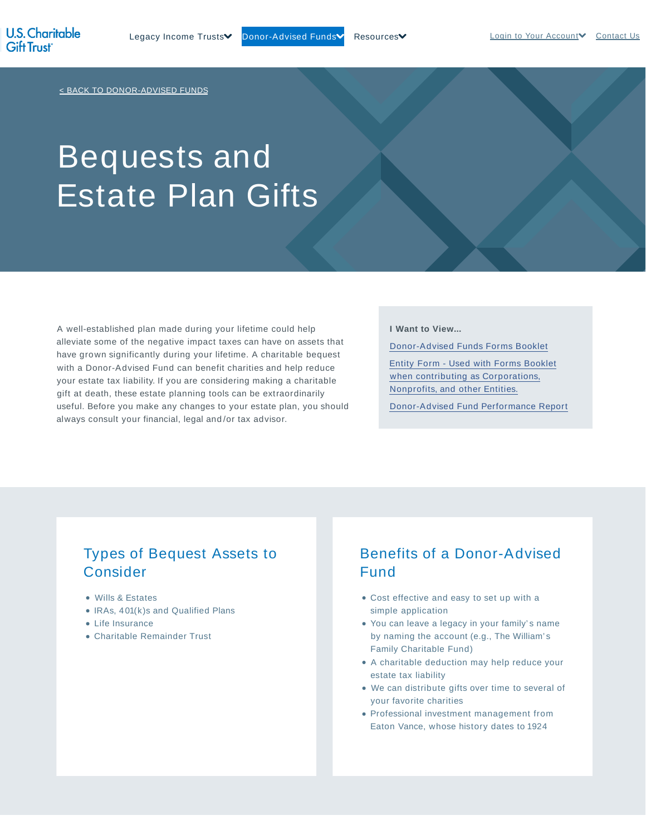< BACK TO DONOR-ADVISED FUNDS

# Bequests and Estate Plan Gifts

A well-established plan made during your lifetime could help alleviate some of the negative impact taxes can have on assets that have grown significantly during your lifetime. A charitable bequest with a Donor-Advised Fund can benefit charities and help reduce your estate tax liability. If you are considering making a charitable gift at death, these estate planning tools can be extraordinarily useful. Before you make any changes to your estate plan, you should always consult your financial, legal and /or tax advisor.

#### **I Want to View...**

Donor-Advised Funds Forms Booklet Entity Form - Used with Forms Booklet when contributing as Corporations, Nonprofits, and other Entities.

Donor-Advised Fund Performance Report

#### Types of Bequest Assets to Consider

- Wills & Estates
- IRAs, 401(k)s and Qualified Plans
- Life Insurance
- Charitable Remainder Trust

### Benefits of a Donor-Advised Fund

- Cost effective and easy to set up with a simple application
- You can leave a legacy in your family's name by naming the account (e.g., The William's Family Charitable Fund)
- A charitable deduction may help reduce your estate tax liability
- We can distribute gifts over time to several of your favorite charities
- Professional investment management from Eaton Vance, whose history dates to 1924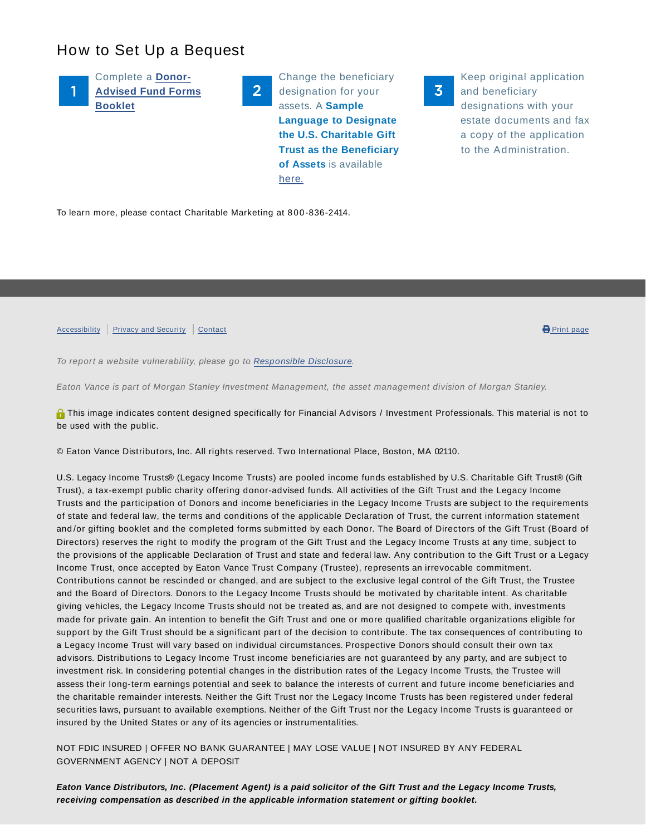## How to Set Up a Bequest

Complete a **Donor-Advised Fund Forms Booklet**

Change the beneficiary designation for your assets. A **Sample Language to Designate the U.S. Charitable Gift Trust as the Beneficiary of Assets** is available here.

Keep original application and beneficiary designations with your estate documents and fax a copy of the application to the Administration.

 $\overline{\mathbf{3}}$ 

To learn more, please contact Charitable Marketing at 800-836-2414.

Accessibility Privacy and Security Contact **Contact Contact Contact Contact Contact Contact Contact Contact Contact** 

To report a website vulnerability, please go to Responsible Disclosure.

Eaton Vance is part of Morgan Stanley Investment Management, the asset management division of Morgan Stanley.

**O** This image indicates content designed specifically for Financial Advisors / Investment Professionals. This material is not to be used with the public.

© Eaton Vance Distributors, Inc. All rights reserved. Two International Place, Boston, MA 02110.

 $2<sup>1</sup>$ 

U.S. Legacy Income Trusts® (Legacy Income Trusts) are pooled income funds established by U.S. Charitable Gift Trust® (Gift Trust), a tax-exempt public charity offering donor-advised funds. All activities of the Gift Trust and the Legacy Income Trusts and the participation of Donors and income beneficiaries in the Legacy Income Trusts are subject to the requirements of state and federal law, the terms and conditions of the applicable Declaration of Trust, the current information statement and /or gifting booklet and the completed forms submitted by each Donor. The Board of Directors of the Gift Trust (Board of Directors) reserves the right to modify the program of the Gift Trust and the Legacy Income Trusts at any time, subject to the provisions of the applicable Declaration of Trust and state and federal law. Any contribution to the Gift Trust or a Legacy Income Trust, once accepted by Eaton Vance Trust Company (Trustee), represents an irrevocable commitment. Contributions cannot be rescinded or changed, and are subject to the exclusive legal control of the Gift Trust, the Trustee and the Board of Directors. Donors to the Legacy Income Trusts should be motivated by charitable intent. As charitable giving vehicles, the Legacy Income Trusts should not be treated as, and are not designed to compete with, investments made for private gain. An intention to benefit the Gift Trust and one or more qualified charitable organizations eligible for support by the Gift Trust should be a significant part of the decision to contribute. The tax consequences of contributing to a Legacy Income Trust will vary based on individual circumstances. Prospective Donors should consult their own tax advisors. Distributions to Legacy Income Trust income beneficiaries are not guaranteed by any party, and are subject to investment risk. In considering potential changes in the distribution rates of the Legacy Income Trusts, the Trustee will assess their long-term earnings potential and seek to balance the interests of current and future income beneficiaries and the charitable remainder interests. Neither the Gift Trust nor the Legacy Income Trusts has been registered under federal securities laws, pursuant to available exemptions. Neither of the Gift Trust nor the Legacy Income Trusts is guaranteed or insured by the United States or any of its agencies or instrumentalities.

NOT FDIC INSURED | OFFER NO BANK GUARANTEE | MAY LOSE VALUE | NOT INSURED BY ANY FEDERAL GOVERNMENT AGENCY | NOT A DEPOSIT

**Eaton Vance Distributors, Inc. (Placement Agent) is a paid solicitor of the Gift Trust and the Legacy Income Trusts, receiving compensation as described in the applicable information statement or gifting booklet.**